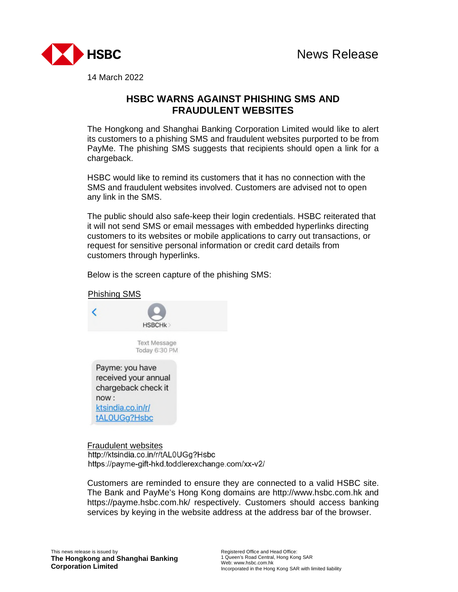

14 March 2022

## **HSBC WARNS AGAINST PHISHING SMS AND FRAUDULENT WEBSITES**

The Hongkong and Shanghai Banking Corporation Limited would like to alert its customers to a phishing SMS and fraudulent websites purported to be from PayMe. The phishing SMS suggests that recipients should open a link for a chargeback.

HSBC would like to remind its customers that it has no connection with the SMS and fraudulent websites involved. Customers are advised not to open any link in the SMS.

The public should also safe-keep their login credentials. HSBC reiterated that it will not send SMS or email messages with embedded hyperlinks directing customers to its websites or mobile applications to carry out transactions, or request for sensitive personal information or credit card details from customers through hyperlinks.

Below is the screen capture of the phishing SMS:



Fraudulent websites http://ktsindia.co.in/r/tAL0UGg?Hsbc https://payme-gift-hkd.toddlerexchange.com/xx-v2/

Customers are reminded to ensure they are connected to a valid HSBC site. The Bank and PayMe's Hong Kong domains are http://www.hsbc.com.hk and https://payme.hsbc.com.hk/ respectively. Customers should access banking services by keying in the website address at the address bar of the browser.